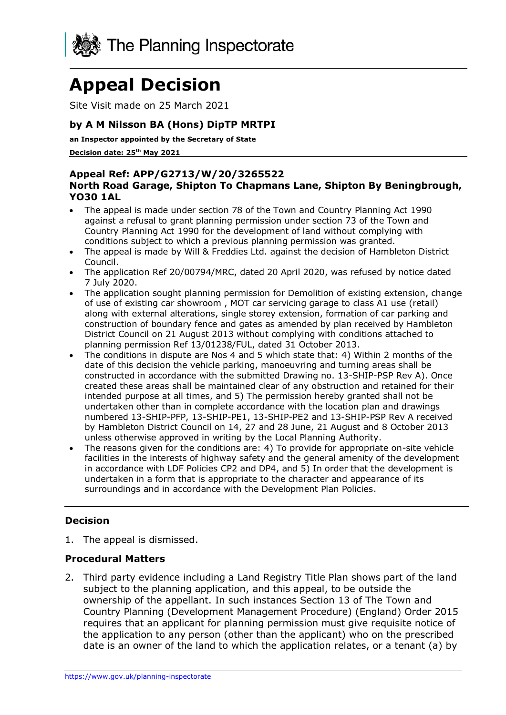

# **Appeal Decision**

Site Visit made on 25 March 2021

### **by A M Nilsson BA (Hons) DipTP MRTPI**

**an Inspector appointed by the Secretary of State** 

**Decision date: 25th May 2021**

#### **Appeal Ref: APP/G2713/W/20/3265522 North Road Garage, Shipton To Chapmans Lane, Shipton By Beningbrough, YO30 1AL**

- The appeal is made under section 78 of the Town and Country Planning Act 1990 against a refusal to grant planning permission under section 73 of the Town and Country Planning Act 1990 for the development of land without complying with conditions subject to which a previous planning permission was granted.
- The appeal is made by Will & Freddies Ltd. against the decision of Hambleton District Council.
- The application Ref 20/00794/MRC, dated 20 April 2020, was refused by notice dated 7 July 2020.
- The application sought planning permission for Demolition of existing extension, change of use of existing car showroom , MOT car servicing garage to class A1 use (retail) along with external alterations, single storey extension, formation of car parking and construction of boundary fence and gates as amended by plan received by Hambleton District Council on 21 August 2013 without complying with conditions attached to planning permission Ref 13/01238/FUL, dated 31 October 2013.
- The conditions in dispute are Nos 4 and 5 which state that: 4) Within 2 months of the date of this decision the vehicle parking, manoeuvring and turning areas shall be constructed in accordance with the submitted Drawing no. 13-SHIP-PSP Rev A). Once created these areas shall be maintained clear of any obstruction and retained for their intended purpose at all times, and 5) The permission hereby granted shall not be undertaken other than in complete accordance with the location plan and drawings numbered 13-SHIP-PFP, 13-SHIP-PE1, 13-SHIP-PE2 and 13-SHIP-PSP Rev A received by Hambleton District Council on 14, 27 and 28 June, 21 August and 8 October 2013 unless otherwise approved in writing by the Local Planning Authority.
- The reasons given for the conditions are: 4) To provide for appropriate on-site vehicle facilities in the interests of highway safety and the general amenity of the development in accordance with LDF Policies CP2 and DP4, and 5) In order that the development is undertaken in a form that is appropriate to the character and appearance of its surroundings and in accordance with the Development Plan Policies.

## **Decision**

1. The appeal is dismissed.

#### **Procedural Matters**

2. Third party evidence including a Land Registry Title Plan shows part of the land subject to the planning application, and this appeal, to be outside the ownership of the appellant. In such instances Section 13 of The Town and Country Planning (Development Management Procedure) (England) Order 2015 requires that an applicant for planning permission must give requisite notice of the application to any person (other than the applicant) who on the prescribed date is an owner of the land to which the application relates, or a tenant (a) by